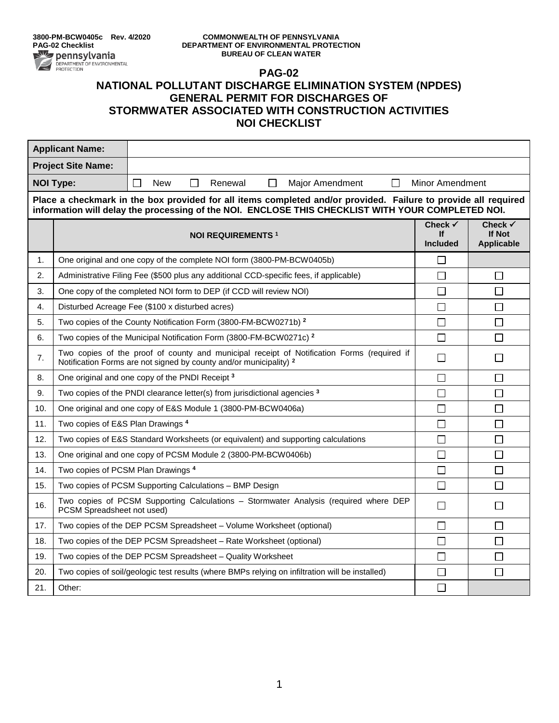## **PAG-02 NATIONAL POLLUTANT DISCHARGE ELIMINATION SYSTEM (NPDES) GENERAL PERMIT FOR DISCHARGES OF STORMWATER ASSOCIATED WITH CONSTRUCTION ACTIVITIES NOI CHECKLIST**

| <b>Applicant Name:</b>                                                                                                                                                                                              |                                                                                                                                                                             |                                                                       |        |         |        |                        |                                             |                                                          |  |
|---------------------------------------------------------------------------------------------------------------------------------------------------------------------------------------------------------------------|-----------------------------------------------------------------------------------------------------------------------------------------------------------------------------|-----------------------------------------------------------------------|--------|---------|--------|------------------------|---------------------------------------------|----------------------------------------------------------|--|
| <b>Project Site Name:</b>                                                                                                                                                                                           |                                                                                                                                                                             |                                                                       |        |         |        |                        |                                             |                                                          |  |
| <b>NOI Type:</b>                                                                                                                                                                                                    |                                                                                                                                                                             | $\Box$<br><b>New</b>                                                  | $\Box$ | Renewal | $\Box$ | <b>Major Amendment</b> | $\Box$                                      | <b>Minor Amendment</b>                                   |  |
| Place a checkmark in the box provided for all items completed and/or provided. Failure to provide all required<br>information will delay the processing of the NOI. ENCLOSE THIS CHECKLIST WITH YOUR COMPLETED NOI. |                                                                                                                                                                             |                                                                       |        |         |        |                        |                                             |                                                          |  |
|                                                                                                                                                                                                                     | <b>NOI REQUIREMENTS 1</b>                                                                                                                                                   |                                                                       |        |         |        |                        | Check $\checkmark$<br>lf<br><b>Included</b> | Check $\checkmark$<br><b>If Not</b><br><b>Applicable</b> |  |
| 1.                                                                                                                                                                                                                  |                                                                                                                                                                             | One original and one copy of the complete NOI form (3800-PM-BCW0405b) |        |         |        |                        | □                                           |                                                          |  |
| 2.                                                                                                                                                                                                                  | Administrative Filing Fee (\$500 plus any additional CCD-specific fees, if applicable)                                                                                      |                                                                       |        |         |        |                        | $\Box$                                      | П                                                        |  |
| 3.                                                                                                                                                                                                                  | One copy of the completed NOI form to DEP (if CCD will review NOI)                                                                                                          |                                                                       |        |         |        |                        | $\Box$                                      | $\Box$                                                   |  |
| 4.                                                                                                                                                                                                                  | Disturbed Acreage Fee (\$100 x disturbed acres)                                                                                                                             |                                                                       |        |         |        |                        | $\Box$                                      | П                                                        |  |
| 5.                                                                                                                                                                                                                  | Two copies of the County Notification Form (3800-FM-BCW0271b) <sup>2</sup>                                                                                                  |                                                                       |        |         |        |                        | $\Box$                                      | $\Box$                                                   |  |
| 6.                                                                                                                                                                                                                  | Two copies of the Municipal Notification Form (3800-FM-BCW0271c) <sup>2</sup>                                                                                               |                                                                       |        |         |        |                        | $\Box$                                      | $\Box$                                                   |  |
| 7.                                                                                                                                                                                                                  | Two copies of the proof of county and municipal receipt of Notification Forms (required if<br>Notification Forms are not signed by county and/or municipality) <sup>2</sup> |                                                                       |        |         |        |                        | $\Box$                                      | $\mathsf{L}$                                             |  |
| 8.                                                                                                                                                                                                                  |                                                                                                                                                                             | One original and one copy of the PNDI Receipt <sup>3</sup>            |        |         |        | $\Box$                 | П                                           |                                                          |  |
| 9.                                                                                                                                                                                                                  | Two copies of the PNDI clearance letter(s) from jurisdictional agencies 3                                                                                                   |                                                                       |        |         |        | $\Box$                 | $\Box$                                      |                                                          |  |
| 10.                                                                                                                                                                                                                 | One original and one copy of E&S Module 1 (3800-PM-BCW0406a)<br>$\Box$                                                                                                      |                                                                       |        |         |        | П                      |                                             |                                                          |  |
| 11.                                                                                                                                                                                                                 | Two copies of E&S Plan Drawings <sup>4</sup><br>$\Box$                                                                                                                      |                                                                       |        |         |        | $\Box$                 |                                             |                                                          |  |
| 12.                                                                                                                                                                                                                 | Two copies of E&S Standard Worksheets (or equivalent) and supporting calculations                                                                                           |                                                                       |        |         | $\Box$ | П                      |                                             |                                                          |  |
| 13.                                                                                                                                                                                                                 | One original and one copy of PCSM Module 2 (3800-PM-BCW0406b)                                                                                                               |                                                                       |        |         | $\Box$ | $\Box$                 |                                             |                                                          |  |
| 14.                                                                                                                                                                                                                 |                                                                                                                                                                             | Two copies of PCSM Plan Drawings 4                                    |        |         |        | $\Box$                 | $\Box$                                      |                                                          |  |
| 15.                                                                                                                                                                                                                 |                                                                                                                                                                             | Two copies of PCSM Supporting Calculations - BMP Design               |        |         |        | $\Box$                 | П                                           |                                                          |  |
| 16.                                                                                                                                                                                                                 | Two copies of PCSM Supporting Calculations - Stormwater Analysis (required where DEP<br>PCSM Spreadsheet not used)                                                          |                                                                       |        |         | $\Box$ | $\Box$                 |                                             |                                                          |  |
| 17.                                                                                                                                                                                                                 |                                                                                                                                                                             | Two copies of the DEP PCSM Spreadsheet - Volume Worksheet (optional)  |        |         |        | $\Box$                 | $\Box$                                      |                                                          |  |
| 18.                                                                                                                                                                                                                 |                                                                                                                                                                             | Two copies of the DEP PCSM Spreadsheet - Rate Worksheet (optional)    |        |         |        | $\Box$                 | $\Box$                                      |                                                          |  |
| 19.                                                                                                                                                                                                                 |                                                                                                                                                                             | Two copies of the DEP PCSM Spreadsheet - Quality Worksheet            |        |         |        |                        | $\Box$                                      | $\Box$                                                   |  |
| 20.                                                                                                                                                                                                                 | Two copies of soil/geologic test results (where BMPs relying on infiltration will be installed)                                                                             |                                                                       |        |         | $\Box$ | $\Box$                 |                                             |                                                          |  |
| 21.                                                                                                                                                                                                                 | Other:                                                                                                                                                                      |                                                                       |        |         |        | $\Box$                 |                                             |                                                          |  |